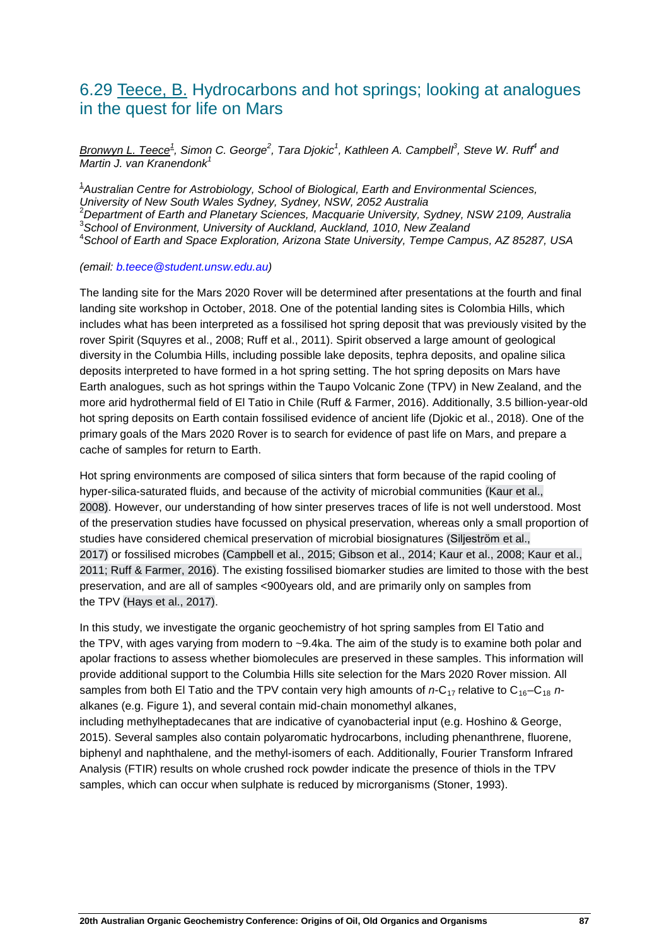## 6.29 Teece, B. Hydrocarbons and hot springs; looking at analogues in the quest for life on Mars

*Bronwyn L. Teece1 , Simon C. George<sup>2</sup> , Tara Djokic<sup>1</sup> , Kathleen A. Campbell3 , Steve W. Ruff4 and Martin J. van Kranendonk<sup>1</sup>*

1 *Australian Centre for Astrobiology, School of Biological, Earth and Environmental Sciences, University of New South Wales Sydney, Sydney, NSW, 2052 Australia* <sup>2</sup> *Department of Earth and Planetary Sciences, Macquarie University, Sydney, NSW 2109, Australia* 3 *School of Environment, University of Auckland, Auckland, 1010, New Zealand*

4 *School of Earth and Space Exploration, Arizona State University, Tempe Campus, AZ 85287, USA*

*(email: [b.teece@student.unsw.edu.au\)](mailto:b.teece@student.unsw.edu.au)*

The landing site for the Mars 2020 Rover will be determined after presentations at the fourth and final landing site workshop in October, 2018. One of the potential landing sites is Colombia Hills, which includes what has been interpreted as a fossilised hot spring deposit that was previously visited by the rover Spirit (Squyres et al., 2008; Ruff et al., 2011). Spirit observed a large amount of geological diversity in the Columbia Hills, including possible lake deposits, tephra deposits, and opaline silica deposits interpreted to have formed in a hot spring setting. The hot spring deposits on Mars have Earth analogues, such as hot springs within the Taupo Volcanic Zone (TPV) in New Zealand, and the more arid hydrothermal field of El Tatio in Chile (Ruff & Farmer, 2016). Additionally, 3.5 billion-year-old hot spring deposits on Earth contain fossilised evidence of ancient life (Djokic et al., 2018). One of the primary goals of the Mars 2020 Rover is to search for evidence of past life on Mars, and prepare a cache of samples for return to Earth.

Hot spring environments are composed of silica sinters that form because of the rapid cooling of hyper-silica-saturated fluids, and because of the activity of microbial communities (Kaur et al., 2008). However, our understanding of how sinter preserves traces of life is not well understood. Most of the preservation studies have focussed on physical preservation, whereas only a small proportion of studies have considered chemical preservation of microbial biosignatures (Siljeström et al., 2017) or fossilised microbes (Campbell et al., 2015; Gibson et al., 2014; Kaur et al., 2008; Kaur et al., 2011; Ruff & Farmer, 2016). The existing fossilised biomarker studies are limited to those with the best preservation, and are all of samples <900years old, and are primarily only on samples from the TPV (Hays et al., 2017).

In this study, we investigate the organic geochemistry of hot spring samples from El Tatio and the TPV, with ages varying from modern to ~9.4ka. The aim of the study is to examine both polar and apolar fractions to assess whether biomolecules are preserved in these samples. This information will provide additional support to the Columbia Hills site selection for the Mars 2020 Rover mission. All samples from both El Tatio and the TPV contain very high amounts of  $n-C_{17}$  relative to  $C_{16}-C_{18}$   $n$ alkanes (e.g. Figure 1), and several contain mid-chain monomethyl alkanes, including methylheptadecanes that are indicative of cyanobacterial input (e.g. Hoshino & George, 2015). Several samples also contain polyaromatic hydrocarbons, including phenanthrene, fluorene, biphenyl and naphthalene, and the methyl-isomers of each. Additionally, Fourier Transform Infrared Analysis (FTIR) results on whole crushed rock powder indicate the presence of thiols in the TPV samples, which can occur when sulphate is reduced by microrganisms (Stoner, 1993).